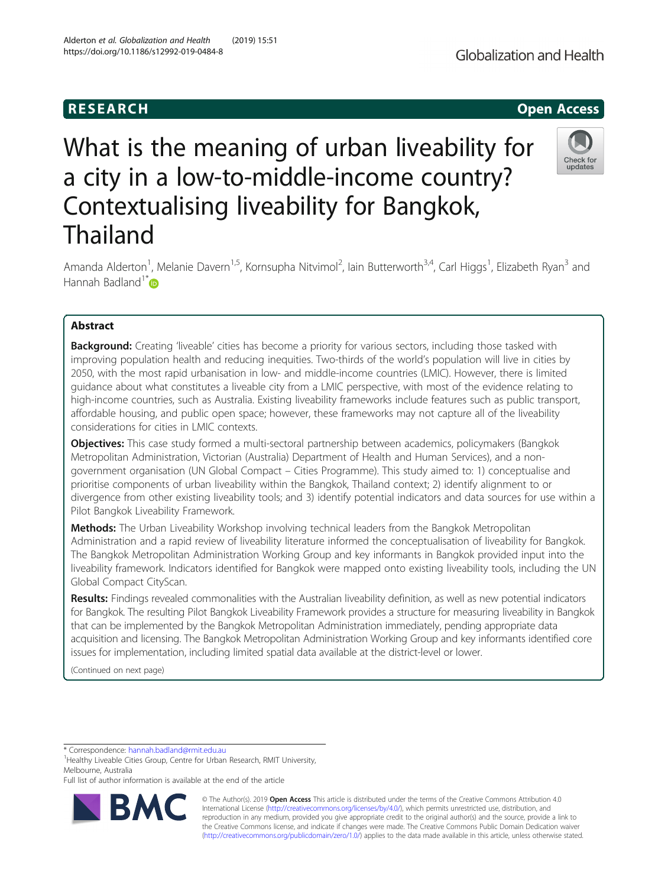# What is the meaning of urban liveability for a city in a low-to-middle-income country? Contextualising liveability for Bangkok, Thailand

Amanda Alderton<sup>1</sup>, Melanie Davern<sup>1,5</sup>, Kornsupha Nitvimol<sup>2</sup>, Iain Butterworth<sup>3,4</sup>, Carl Higgs<sup>1</sup>, Elizabeth Ryan<sup>3</sup> and Hannah Badland<sup>1\*</sup> $\bullet$ 

# Abstract

**Background:** Creating 'liveable' cities has become a priority for various sectors, including those tasked with improving population health and reducing inequities. Two-thirds of the world's population will live in cities by 2050, with the most rapid urbanisation in low- and middle-income countries (LMIC). However, there is limited guidance about what constitutes a liveable city from a LMIC perspective, with most of the evidence relating to high-income countries, such as Australia. Existing liveability frameworks include features such as public transport, affordable housing, and public open space; however, these frameworks may not capture all of the liveability considerations for cities in LMIC contexts.

**Objectives:** This case study formed a multi-sectoral partnership between academics, policymakers (Bangkok Metropolitan Administration, Victorian (Australia) Department of Health and Human Services), and a nongovernment organisation (UN Global Compact – Cities Programme). This study aimed to: 1) conceptualise and prioritise components of urban liveability within the Bangkok, Thailand context; 2) identify alignment to or divergence from other existing liveability tools; and 3) identify potential indicators and data sources for use within a Pilot Bangkok Liveability Framework.

Methods: The Urban Liveability Workshop involving technical leaders from the Bangkok Metropolitan Administration and a rapid review of liveability literature informed the conceptualisation of liveability for Bangkok. The Bangkok Metropolitan Administration Working Group and key informants in Bangkok provided input into the liveability framework. Indicators identified for Bangkok were mapped onto existing liveability tools, including the UN Global Compact CityScan.

Results: Findings revealed commonalities with the Australian liveability definition, as well as new potential indicators for Bangkok. The resulting Pilot Bangkok Liveability Framework provides a structure for measuring liveability in Bangkok that can be implemented by the Bangkok Metropolitan Administration immediately, pending appropriate data acquisition and licensing. The Bangkok Metropolitan Administration Working Group and key informants identified core issues for implementation, including limited spatial data available at the district-level or lower.

(Continued on next page)

\* Correspondence: [hannah.badland@rmit.edu.au](mailto:hannah.badland@rmit.edu.au) <sup>1</sup>

<sup>1</sup>Healthy Liveable Cities Group, Centre for Urban Research, RMIT University, Melbourne, Australia

Full list of author information is available at the end of the article

© The Author(s). 2019 **Open Access** This article is distributed under the terms of the Creative Commons Attribution 4.0 International License [\(http://creativecommons.org/licenses/by/4.0/](http://creativecommons.org/licenses/by/4.0/)), which permits unrestricted use, distribution, and reproduction in any medium, provided you give appropriate credit to the original author(s) and the source, provide a link to the Creative Commons license, and indicate if changes were made. The Creative Commons Public Domain Dedication waiver [\(http://creativecommons.org/publicdomain/zero/1.0/](http://creativecommons.org/publicdomain/zero/1.0/)) applies to the data made available in this article, unless otherwise stated.





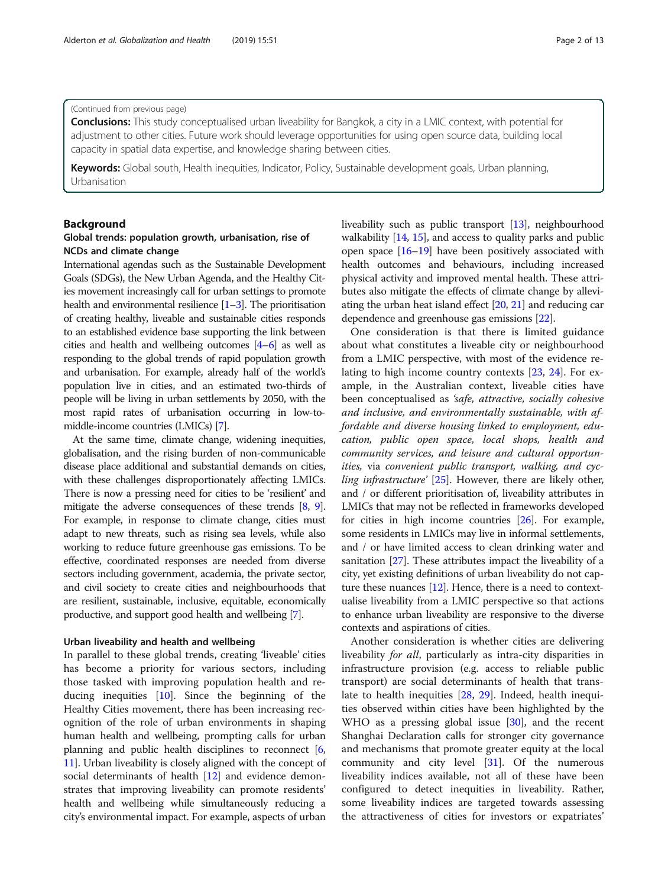#### (Continued from previous page)

Conclusions: This study conceptualised urban liveability for Bangkok, a city in a LMIC context, with potential for adjustment to other cities. Future work should leverage opportunities for using open source data, building local capacity in spatial data expertise, and knowledge sharing between cities.

Keywords: Global south, Health inequities, Indicator, Policy, Sustainable development goals, Urban planning, Urbanisation

# Background

# Global trends: population growth, urbanisation, rise of NCDs and climate change

International agendas such as the Sustainable Development Goals (SDGs), the New Urban Agenda, and the Healthy Cities movement increasingly call for urban settings to promote health and environmental resilience [\[1](#page-11-0)–[3](#page-11-0)]. The prioritisation of creating healthy, liveable and sustainable cities responds to an established evidence base supporting the link between cities and health and wellbeing outcomes [\[4](#page-11-0)–[6](#page-11-0)] as well as responding to the global trends of rapid population growth and urbanisation. For example, already half of the world's population live in cities, and an estimated two-thirds of people will be living in urban settlements by 2050, with the most rapid rates of urbanisation occurring in low-tomiddle-income countries (LMICs) [[7](#page-11-0)].

At the same time, climate change, widening inequities, globalisation, and the rising burden of non-communicable disease place additional and substantial demands on cities, with these challenges disproportionately affecting LMICs. There is now a pressing need for cities to be 'resilient' and mitigate the adverse consequences of these trends [[8](#page-11-0), [9](#page-11-0)]. For example, in response to climate change, cities must adapt to new threats, such as rising sea levels, while also working to reduce future greenhouse gas emissions. To be effective, coordinated responses are needed from diverse sectors including government, academia, the private sector, and civil society to create cities and neighbourhoods that are resilient, sustainable, inclusive, equitable, economically productive, and support good health and wellbeing [\[7\]](#page-11-0).

# Urban liveability and health and wellbeing

In parallel to these global trends, creating 'liveable' cities has become a priority for various sectors, including those tasked with improving population health and reducing inequities [[10\]](#page-11-0). Since the beginning of the Healthy Cities movement, there has been increasing recognition of the role of urban environments in shaping human health and wellbeing, prompting calls for urban planning and public health disciplines to reconnect [[6](#page-11-0), [11](#page-11-0)]. Urban liveability is closely aligned with the concept of social determinants of health [\[12\]](#page-11-0) and evidence demonstrates that improving liveability can promote residents' health and wellbeing while simultaneously reducing a city's environmental impact. For example, aspects of urban

liveability such as public transport [[13](#page-11-0)], neighbourhood walkability [\[14,](#page-11-0) [15](#page-11-0)], and access to quality parks and public open space [[16](#page-11-0)–[19\]](#page-11-0) have been positively associated with health outcomes and behaviours, including increased physical activity and improved mental health. These attributes also mitigate the effects of climate change by alleviating the urban heat island effect [[20](#page-11-0), [21\]](#page-11-0) and reducing car dependence and greenhouse gas emissions [\[22](#page-11-0)].

One consideration is that there is limited guidance about what constitutes a liveable city or neighbourhood from a LMIC perspective, with most of the evidence relating to high income country contexts [\[23,](#page-11-0) [24](#page-11-0)]. For example, in the Australian context, liveable cities have been conceptualised as 'safe, attractive, socially cohesive and inclusive, and environmentally sustainable, with affordable and diverse housing linked to employment, education, public open space, local shops, health and community services, and leisure and cultural opportunities, via convenient public transport, walking, and cycling infrastructure'  $[25]$  $[25]$ . However, there are likely other, and / or different prioritisation of, liveability attributes in LMICs that may not be reflected in frameworks developed for cities in high income countries [[26\]](#page-12-0). For example, some residents in LMICs may live in informal settlements, and / or have limited access to clean drinking water and sanitation [\[27\]](#page-12-0). These attributes impact the liveability of a city, yet existing definitions of urban liveability do not capture these nuances  $[12]$  $[12]$ . Hence, there is a need to contextualise liveability from a LMIC perspective so that actions to enhance urban liveability are responsive to the diverse contexts and aspirations of cities.

Another consideration is whether cities are delivering liveability for all, particularly as intra-city disparities in infrastructure provision (e.g. access to reliable public transport) are social determinants of health that translate to health inequities [\[28](#page-12-0), [29\]](#page-12-0). Indeed, health inequities observed within cities have been highlighted by the WHO as a pressing global issue [[30](#page-12-0)], and the recent Shanghai Declaration calls for stronger city governance and mechanisms that promote greater equity at the local community and city level [[31\]](#page-12-0). Of the numerous liveability indices available, not all of these have been configured to detect inequities in liveability. Rather, some liveability indices are targeted towards assessing the attractiveness of cities for investors or expatriates'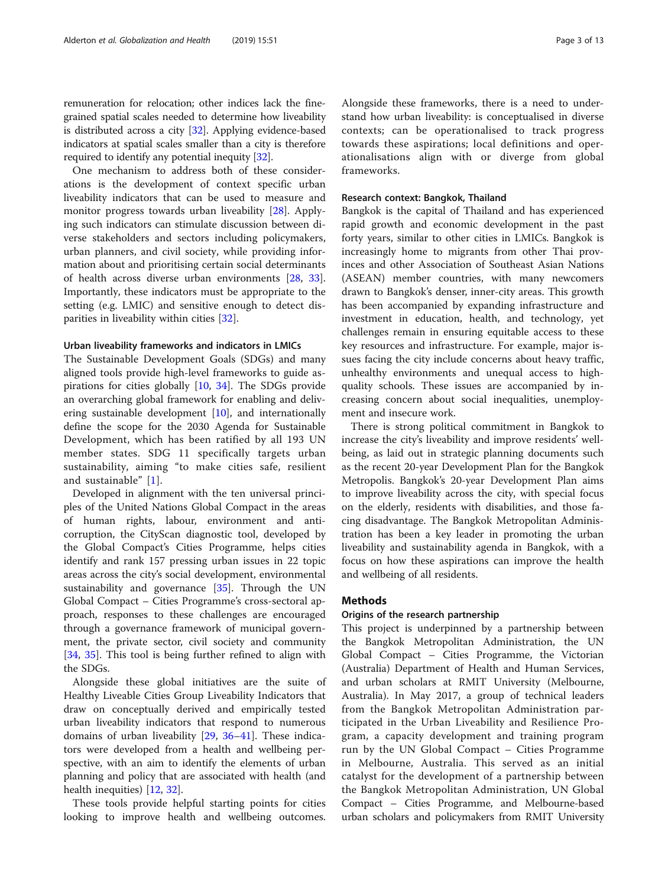remuneration for relocation; other indices lack the finegrained spatial scales needed to determine how liveability is distributed across a city [\[32\]](#page-12-0). Applying evidence-based indicators at spatial scales smaller than a city is therefore required to identify any potential inequity [[32](#page-12-0)].

One mechanism to address both of these considerations is the development of context specific urban liveability indicators that can be used to measure and monitor progress towards urban liveability [\[28](#page-12-0)]. Applying such indicators can stimulate discussion between diverse stakeholders and sectors including policymakers, urban planners, and civil society, while providing information about and prioritising certain social determinants of health across diverse urban environments [\[28](#page-12-0), [33](#page-12-0)]. Importantly, these indicators must be appropriate to the setting (e.g. LMIC) and sensitive enough to detect disparities in liveability within cities [[32\]](#page-12-0).

#### Urban liveability frameworks and indicators in LMICs

The Sustainable Development Goals (SDGs) and many aligned tools provide high-level frameworks to guide aspirations for cities globally [[10](#page-11-0), [34\]](#page-12-0). The SDGs provide an overarching global framework for enabling and delivering sustainable development  $[10]$  $[10]$ , and internationally define the scope for the 2030 Agenda for Sustainable Development, which has been ratified by all 193 UN member states. SDG 11 specifically targets urban sustainability, aiming "to make cities safe, resilient and sustainable" [\[1](#page-11-0)].

Developed in alignment with the ten universal principles of the United Nations Global Compact in the areas of human rights, labour, environment and anticorruption, the CityScan diagnostic tool, developed by the Global Compact's Cities Programme, helps cities identify and rank 157 pressing urban issues in 22 topic areas across the city's social development, environmental sustainability and governance [\[35](#page-12-0)]. Through the UN Global Compact – Cities Programme's cross-sectoral approach, responses to these challenges are encouraged through a governance framework of municipal government, the private sector, civil society and community [[34,](#page-12-0) [35](#page-12-0)]. This tool is being further refined to align with the SDGs.

Alongside these global initiatives are the suite of Healthy Liveable Cities Group Liveability Indicators that draw on conceptually derived and empirically tested urban liveability indicators that respond to numerous domains of urban liveability [\[29](#page-12-0), [36](#page-12-0)–[41](#page-12-0)]. These indicators were developed from a health and wellbeing perspective, with an aim to identify the elements of urban planning and policy that are associated with health (and health inequities) [\[12](#page-11-0), [32](#page-12-0)].

These tools provide helpful starting points for cities looking to improve health and wellbeing outcomes.

Alongside these frameworks, there is a need to understand how urban liveability: is conceptualised in diverse contexts; can be operationalised to track progress towards these aspirations; local definitions and operationalisations align with or diverge from global frameworks.

#### Research context: Bangkok, Thailand

Bangkok is the capital of Thailand and has experienced rapid growth and economic development in the past forty years, similar to other cities in LMICs. Bangkok is increasingly home to migrants from other Thai provinces and other Association of Southeast Asian Nations (ASEAN) member countries, with many newcomers drawn to Bangkok's denser, inner-city areas. This growth has been accompanied by expanding infrastructure and investment in education, health, and technology, yet challenges remain in ensuring equitable access to these key resources and infrastructure. For example, major issues facing the city include concerns about heavy traffic, unhealthy environments and unequal access to highquality schools. These issues are accompanied by increasing concern about social inequalities, unemployment and insecure work.

There is strong political commitment in Bangkok to increase the city's liveability and improve residents' wellbeing, as laid out in strategic planning documents such as the recent 20-year Development Plan for the Bangkok Metropolis. Bangkok's 20-year Development Plan aims to improve liveability across the city, with special focus on the elderly, residents with disabilities, and those facing disadvantage. The Bangkok Metropolitan Administration has been a key leader in promoting the urban liveability and sustainability agenda in Bangkok, with a focus on how these aspirations can improve the health and wellbeing of all residents.

#### **Methods**

#### Origins of the research partnership

This project is underpinned by a partnership between the Bangkok Metropolitan Administration, the UN Global Compact – Cities Programme, the Victorian (Australia) Department of Health and Human Services, and urban scholars at RMIT University (Melbourne, Australia). In May 2017, a group of technical leaders from the Bangkok Metropolitan Administration participated in the Urban Liveability and Resilience Program, a capacity development and training program run by the UN Global Compact – Cities Programme in Melbourne, Australia. This served as an initial catalyst for the development of a partnership between the Bangkok Metropolitan Administration, UN Global Compact – Cities Programme, and Melbourne-based urban scholars and policymakers from RMIT University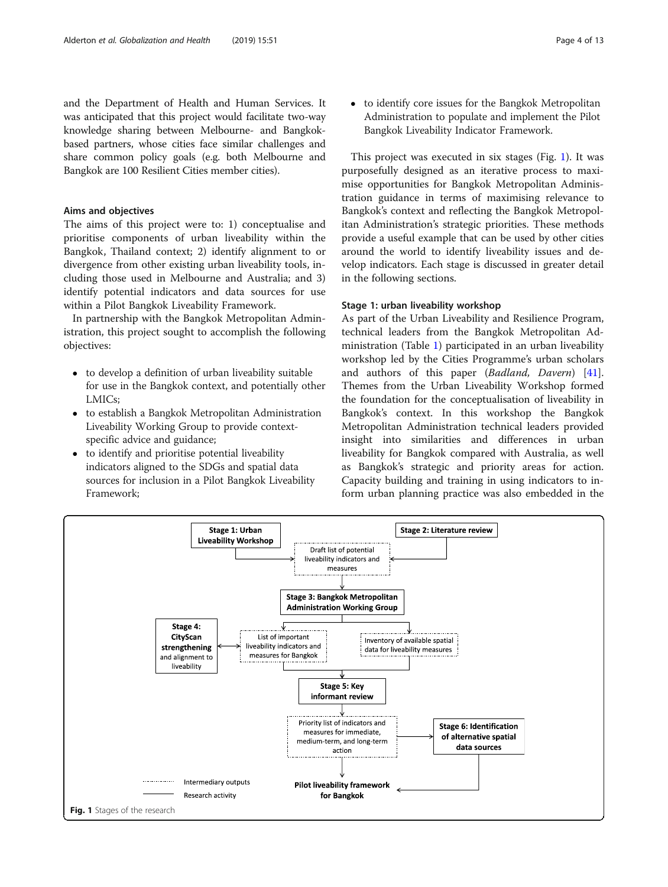and the Department of Health and Human Services. It was anticipated that this project would facilitate two-way knowledge sharing between Melbourne- and Bangkokbased partners, whose cities face similar challenges and share common policy goals (e.g. both Melbourne and Bangkok are 100 Resilient Cities member cities).

#### Aims and objectives

The aims of this project were to: 1) conceptualise and prioritise components of urban liveability within the Bangkok, Thailand context; 2) identify alignment to or divergence from other existing urban liveability tools, including those used in Melbourne and Australia; and 3) identify potential indicators and data sources for use within a Pilot Bangkok Liveability Framework.

In partnership with the Bangkok Metropolitan Administration, this project sought to accomplish the following objectives:

- to develop a definition of urban liveability suitable for use in the Bangkok context, and potentially other LMICs;
- to establish a Bangkok Metropolitan Administration Liveability Working Group to provide contextspecific advice and guidance;
- to identify and prioritise potential liveability indicators aligned to the SDGs and spatial data sources for inclusion in a Pilot Bangkok Liveability Framework;

 to identify core issues for the Bangkok Metropolitan Administration to populate and implement the Pilot Bangkok Liveability Indicator Framework.

This project was executed in six stages (Fig. 1). It was purposefully designed as an iterative process to maximise opportunities for Bangkok Metropolitan Administration guidance in terms of maximising relevance to Bangkok's context and reflecting the Bangkok Metropolitan Administration's strategic priorities. These methods provide a useful example that can be used by other cities around the world to identify liveability issues and develop indicators. Each stage is discussed in greater detail in the following sections.

#### Stage 1: urban liveability workshop

As part of the Urban Liveability and Resilience Program, technical leaders from the Bangkok Metropolitan Administration (Table [1](#page-4-0)) participated in an urban liveability workshop led by the Cities Programme's urban scholars and authors of this paper (Badland, Davern) [\[41](#page-12-0)]. Themes from the Urban Liveability Workshop formed the foundation for the conceptualisation of liveability in Bangkok's context. In this workshop the Bangkok Metropolitan Administration technical leaders provided insight into similarities and differences in urban liveability for Bangkok compared with Australia, as well as Bangkok's strategic and priority areas for action. Capacity building and training in using indicators to inform urban planning practice was also embedded in the

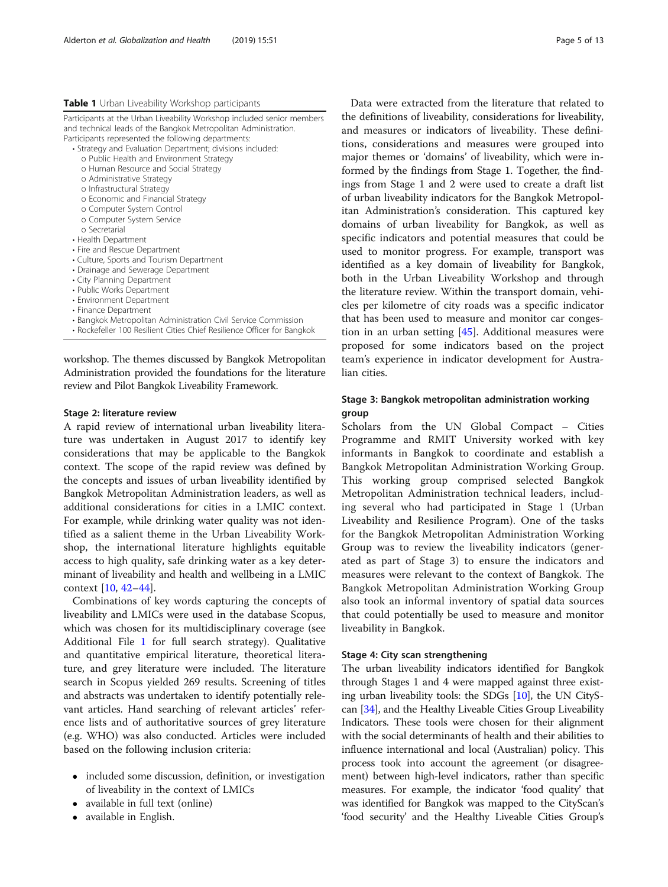#### <span id="page-4-0"></span>Table 1 Urban Liveability Workshop participants

Participants at the Urban Liveability Workshop included senior members and technical leads of the Bangkok Metropolitan Administration. Participants represented the following departments:

- Strategy and Evaluation Department; divisions included:
	- o Public Health and Environment Strategy
	- o Human Resource and Social Strategy
	- o Administrative Strategy
	- o Infrastructural Strategy
	- o Economic and Financial Strategy
	- o Computer System Control
- o Computer System Service
- o Secretarial
- Health Department
- Fire and Rescue Department
- Culture, Sports and Tourism Department
- Drainage and Sewerage Department
- City Planning Department
- Public Works Department
- Environment Department
- Finance Department
- Bangkok Metropolitan Administration Civil Service Commission
- Rockefeller 100 Resilient Cities Chief Resilience Officer for Bangkok

workshop. The themes discussed by Bangkok Metropolitan Administration provided the foundations for the literature review and Pilot Bangkok Liveability Framework.

#### Stage 2: literature review

A rapid review of international urban liveability literature was undertaken in August 2017 to identify key considerations that may be applicable to the Bangkok context. The scope of the rapid review was defined by the concepts and issues of urban liveability identified by Bangkok Metropolitan Administration leaders, as well as additional considerations for cities in a LMIC context. For example, while drinking water quality was not identified as a salient theme in the Urban Liveability Workshop, the international literature highlights equitable access to high quality, safe drinking water as a key determinant of liveability and health and wellbeing in a LMIC context [\[10](#page-11-0), [42](#page-12-0)–[44\]](#page-12-0).

Combinations of key words capturing the concepts of liveability and LMICs were used in the database Scopus, which was chosen for its multidisciplinary coverage (see Additional File [1](#page-11-0) for full search strategy). Qualitative and quantitative empirical literature, theoretical literature, and grey literature were included. The literature search in Scopus yielded 269 results. Screening of titles and abstracts was undertaken to identify potentially relevant articles. Hand searching of relevant articles' reference lists and of authoritative sources of grey literature (e.g. WHO) was also conducted. Articles were included based on the following inclusion criteria:

- included some discussion, definition, or investigation of liveability in the context of LMICs
- available in full text (online)
- available in English.

Data were extracted from the literature that related to the definitions of liveability, considerations for liveability, and measures or indicators of liveability. These definitions, considerations and measures were grouped into major themes or 'domains' of liveability, which were informed by the findings from Stage 1. Together, the findings from Stage 1 and 2 were used to create a draft list of urban liveability indicators for the Bangkok Metropolitan Administration's consideration. This captured key domains of urban liveability for Bangkok, as well as specific indicators and potential measures that could be used to monitor progress. For example, transport was identified as a key domain of liveability for Bangkok, both in the Urban Liveability Workshop and through the literature review. Within the transport domain, vehicles per kilometre of city roads was a specific indicator that has been used to measure and monitor car congestion in an urban setting [[45\]](#page-12-0). Additional measures were proposed for some indicators based on the project team's experience in indicator development for Australian cities.

# Stage 3: Bangkok metropolitan administration working group

Scholars from the UN Global Compact – Cities Programme and RMIT University worked with key informants in Bangkok to coordinate and establish a Bangkok Metropolitan Administration Working Group. This working group comprised selected Bangkok Metropolitan Administration technical leaders, including several who had participated in Stage 1 (Urban Liveability and Resilience Program). One of the tasks for the Bangkok Metropolitan Administration Working Group was to review the liveability indicators (generated as part of Stage 3) to ensure the indicators and measures were relevant to the context of Bangkok. The Bangkok Metropolitan Administration Working Group also took an informal inventory of spatial data sources that could potentially be used to measure and monitor liveability in Bangkok.

#### Stage 4: City scan strengthening

The urban liveability indicators identified for Bangkok through Stages 1 and 4 were mapped against three existing urban liveability tools: the SDGs [\[10](#page-11-0)], the UN CityScan [\[34](#page-12-0)], and the Healthy Liveable Cities Group Liveability Indicators. These tools were chosen for their alignment with the social determinants of health and their abilities to influence international and local (Australian) policy. This process took into account the agreement (or disagreement) between high-level indicators, rather than specific measures. For example, the indicator 'food quality' that was identified for Bangkok was mapped to the CityScan's 'food security' and the Healthy Liveable Cities Group's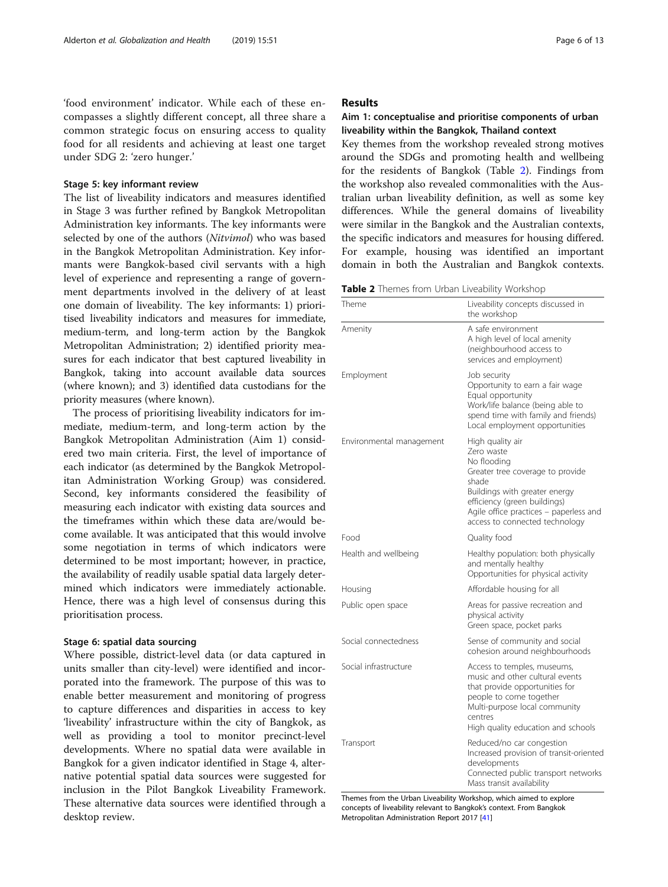'food environment' indicator. While each of these encompasses a slightly different concept, all three share a common strategic focus on ensuring access to quality food for all residents and achieving at least one target under SDG 2: 'zero hunger.'

# Stage 5: key informant review

The list of liveability indicators and measures identified in Stage 3 was further refined by Bangkok Metropolitan Administration key informants. The key informants were selected by one of the authors (Nitvimol) who was based in the Bangkok Metropolitan Administration. Key informants were Bangkok-based civil servants with a high level of experience and representing a range of government departments involved in the delivery of at least one domain of liveability. The key informants: 1) prioritised liveability indicators and measures for immediate, medium-term, and long-term action by the Bangkok Metropolitan Administration; 2) identified priority measures for each indicator that best captured liveability in Bangkok, taking into account available data sources (where known); and 3) identified data custodians for the priority measures (where known).

The process of prioritising liveability indicators for immediate, medium-term, and long-term action by the Bangkok Metropolitan Administration (Aim 1) considered two main criteria. First, the level of importance of each indicator (as determined by the Bangkok Metropolitan Administration Working Group) was considered. Second, key informants considered the feasibility of measuring each indicator with existing data sources and the timeframes within which these data are/would become available. It was anticipated that this would involve some negotiation in terms of which indicators were determined to be most important; however, in practice, the availability of readily usable spatial data largely determined which indicators were immediately actionable. Hence, there was a high level of consensus during this prioritisation process.

#### Stage 6: spatial data sourcing

Where possible, district-level data (or data captured in units smaller than city-level) were identified and incorporated into the framework. The purpose of this was to enable better measurement and monitoring of progress to capture differences and disparities in access to key 'liveability' infrastructure within the city of Bangkok, as well as providing a tool to monitor precinct-level developments. Where no spatial data were available in Bangkok for a given indicator identified in Stage 4, alternative potential spatial data sources were suggested for inclusion in the Pilot Bangkok Liveability Framework. These alternative data sources were identified through a desktop review.

#### Results

# Aim 1: conceptualise and prioritise components of urban liveability within the Bangkok, Thailand context

Key themes from the workshop revealed strong motives around the SDGs and promoting health and wellbeing for the residents of Bangkok (Table 2). Findings from the workshop also revealed commonalities with the Australian urban liveability definition, as well as some key differences. While the general domains of liveability were similar in the Bangkok and the Australian contexts, the specific indicators and measures for housing differed. For example, housing was identified an important domain in both the Australian and Bangkok contexts.

Table 2 Themes from Urban Liveability Workshop

| Theme                    | Liveability concepts discussed in<br>the workshop                                                                                                                                                                                       |
|--------------------------|-----------------------------------------------------------------------------------------------------------------------------------------------------------------------------------------------------------------------------------------|
| Amenity                  | A safe environment<br>A high level of local amenity<br>(neighbourhood access to<br>services and employment)                                                                                                                             |
| Employment               | Job security<br>Opportunity to earn a fair wage<br>Equal opportunity<br>Work/life balance (being able to<br>spend time with family and friends)<br>Local employment opportunities                                                       |
| Environmental management | High quality air<br>Zero waste<br>No flooding<br>Greater tree coverage to provide<br>shade<br>Buildings with greater energy<br>efficiency (green buildings)<br>Agile office practices - paperless and<br>access to connected technology |
| Food                     | Quality food                                                                                                                                                                                                                            |
| Health and wellbeing     | Healthy population: both physically<br>and mentally healthy<br>Opportunities for physical activity                                                                                                                                      |
| Housing                  | Affordable housing for all                                                                                                                                                                                                              |
| Public open space        | Areas for passive recreation and<br>physical activity<br>Green space, pocket parks                                                                                                                                                      |
| Social connectedness     | Sense of community and social<br>cohesion around neighbourhoods                                                                                                                                                                         |
| Social infrastructure    | Access to temples, museums,<br>music and other cultural events<br>that provide opportunities for<br>people to come together<br>Multi-purpose local community<br>centres<br>High quality education and schools                           |
| Transport                | Reduced/no car congestion<br>Increased provision of transit-oriented<br>developments<br>Connected public transport networks<br>Mass transit availability                                                                                |

Themes from the Urban Liveability Workshop, which aimed to explore concepts of liveability relevant to Bangkok's context. From Bangkok Metropolitan Administration Report 2017 [\[41](#page-12-0)]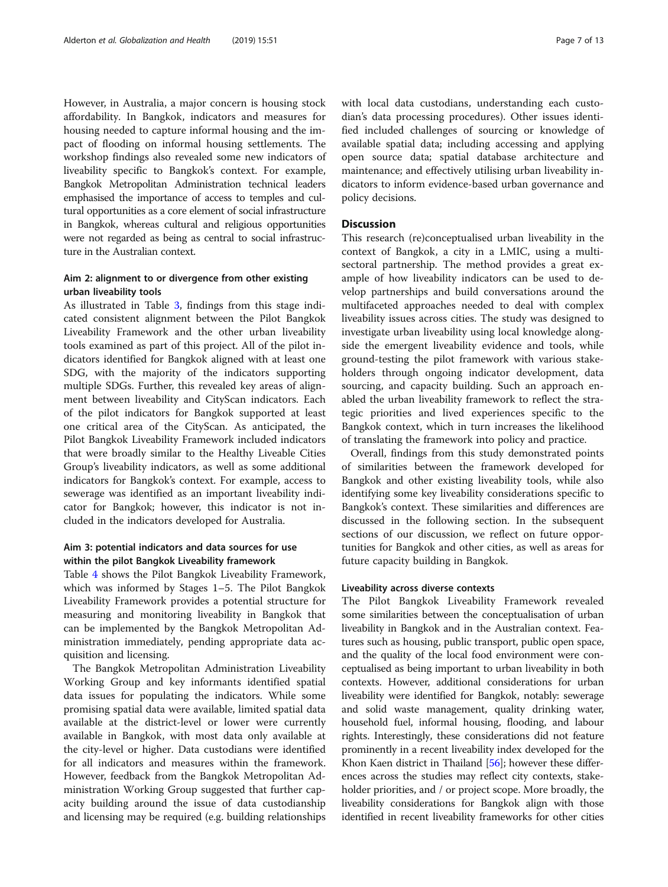However, in Australia, a major concern is housing stock affordability. In Bangkok, indicators and measures for housing needed to capture informal housing and the impact of flooding on informal housing settlements. The workshop findings also revealed some new indicators of liveability specific to Bangkok's context. For example, Bangkok Metropolitan Administration technical leaders emphasised the importance of access to temples and cultural opportunities as a core element of social infrastructure in Bangkok, whereas cultural and religious opportunities were not regarded as being as central to social infrastructure in the Australian context.

# Aim 2: alignment to or divergence from other existing urban liveability tools

As illustrated in Table [3](#page-7-0), findings from this stage indicated consistent alignment between the Pilot Bangkok Liveability Framework and the other urban liveability tools examined as part of this project. All of the pilot indicators identified for Bangkok aligned with at least one SDG, with the majority of the indicators supporting multiple SDGs. Further, this revealed key areas of alignment between liveability and CityScan indicators. Each of the pilot indicators for Bangkok supported at least one critical area of the CityScan. As anticipated, the Pilot Bangkok Liveability Framework included indicators that were broadly similar to the Healthy Liveable Cities Group's liveability indicators, as well as some additional indicators for Bangkok's context. For example, access to sewerage was identified as an important liveability indicator for Bangkok; however, this indicator is not included in the indicators developed for Australia.

# Aim 3: potential indicators and data sources for use within the pilot Bangkok Liveability framework

Table [4](#page-9-0) shows the Pilot Bangkok Liveability Framework, which was informed by Stages 1–5. The Pilot Bangkok Liveability Framework provides a potential structure for measuring and monitoring liveability in Bangkok that can be implemented by the Bangkok Metropolitan Administration immediately, pending appropriate data acquisition and licensing.

The Bangkok Metropolitan Administration Liveability Working Group and key informants identified spatial data issues for populating the indicators. While some promising spatial data were available, limited spatial data available at the district-level or lower were currently available in Bangkok, with most data only available at the city-level or higher. Data custodians were identified for all indicators and measures within the framework. However, feedback from the Bangkok Metropolitan Administration Working Group suggested that further capacity building around the issue of data custodianship and licensing may be required (e.g. building relationships with local data custodians, understanding each custodian's data processing procedures). Other issues identified included challenges of sourcing or knowledge of available spatial data; including accessing and applying open source data; spatial database architecture and maintenance; and effectively utilising urban liveability indicators to inform evidence-based urban governance and policy decisions.

# **Discussion**

This research (re)conceptualised urban liveability in the context of Bangkok, a city in a LMIC, using a multisectoral partnership. The method provides a great example of how liveability indicators can be used to develop partnerships and build conversations around the multifaceted approaches needed to deal with complex liveability issues across cities. The study was designed to investigate urban liveability using local knowledge alongside the emergent liveability evidence and tools, while ground-testing the pilot framework with various stakeholders through ongoing indicator development, data sourcing, and capacity building. Such an approach enabled the urban liveability framework to reflect the strategic priorities and lived experiences specific to the Bangkok context, which in turn increases the likelihood of translating the framework into policy and practice.

Overall, findings from this study demonstrated points of similarities between the framework developed for Bangkok and other existing liveability tools, while also identifying some key liveability considerations specific to Bangkok's context. These similarities and differences are discussed in the following section. In the subsequent sections of our discussion, we reflect on future opportunities for Bangkok and other cities, as well as areas for future capacity building in Bangkok.

#### Liveability across diverse contexts

The Pilot Bangkok Liveability Framework revealed some similarities between the conceptualisation of urban liveability in Bangkok and in the Australian context. Features such as housing, public transport, public open space, and the quality of the local food environment were conceptualised as being important to urban liveability in both contexts. However, additional considerations for urban liveability were identified for Bangkok, notably: sewerage and solid waste management, quality drinking water, household fuel, informal housing, flooding, and labour rights. Interestingly, these considerations did not feature prominently in a recent liveability index developed for the Khon Kaen district in Thailand [\[56\]](#page-12-0); however these differences across the studies may reflect city contexts, stakeholder priorities, and / or project scope. More broadly, the liveability considerations for Bangkok align with those identified in recent liveability frameworks for other cities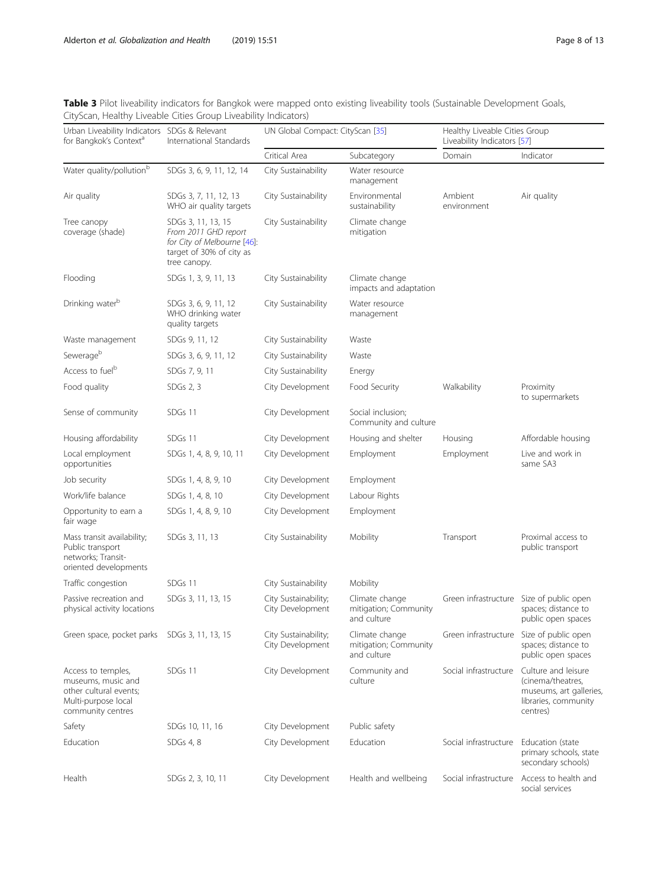<span id="page-7-0"></span>

|                                                                 | Table 3 Pilot liveability indicators for Bangkok were mapped onto existing liveability tools (Sustainable Development Goals, |
|-----------------------------------------------------------------|------------------------------------------------------------------------------------------------------------------------------|
| CityScan, Healthy Liveable Cities Group Liveability Indicators) |                                                                                                                              |

| Urban Liveability Indicators SDGs & Relevant<br>for Bangkok's Context <sup>a</sup>                             | International Standards                                                                                               | UN Global Compact: CityScan [35]         |                                                        | Healthy Liveable Cities Group<br>Liveability Indicators [57] |                                                                                                         |
|----------------------------------------------------------------------------------------------------------------|-----------------------------------------------------------------------------------------------------------------------|------------------------------------------|--------------------------------------------------------|--------------------------------------------------------------|---------------------------------------------------------------------------------------------------------|
|                                                                                                                |                                                                                                                       | Critical Area                            | Subcategory                                            | Domain                                                       | Indicator                                                                                               |
| Water quality/pollution <sup>b</sup>                                                                           | SDGs 3, 6, 9, 11, 12, 14                                                                                              | City Sustainability                      | Water resource<br>management                           |                                                              |                                                                                                         |
| Air quality                                                                                                    | SDGs 3, 7, 11, 12, 13<br>WHO air quality targets                                                                      | City Sustainability                      | Environmental<br>sustainability                        | Ambient<br>environment                                       | Air quality                                                                                             |
| Tree canopy<br>coverage (shade)                                                                                | SDGs 3, 11, 13, 15<br>From 2011 GHD report<br>for City of Melbourne [46]:<br>target of 30% of city as<br>tree canopy. | City Sustainability                      | Climate change<br>mitigation                           |                                                              |                                                                                                         |
| Flooding                                                                                                       | SDGs 1, 3, 9, 11, 13                                                                                                  | City Sustainability                      | Climate change<br>impacts and adaptation               |                                                              |                                                                                                         |
| Drinking water <sup>b</sup>                                                                                    | SDGs 3, 6, 9, 11, 12<br>WHO drinking water<br>quality targets                                                         | City Sustainability                      | Water resource<br>management                           |                                                              |                                                                                                         |
| Waste management                                                                                               | SDGs 9, 11, 12                                                                                                        | City Sustainability                      | Waste                                                  |                                                              |                                                                                                         |
| Sewerageb                                                                                                      | SDGs 3, 6, 9, 11, 12                                                                                                  | City Sustainability                      | Waste                                                  |                                                              |                                                                                                         |
| Access to fuel <sup>b</sup>                                                                                    | SDGs 7, 9, 11                                                                                                         | City Sustainability                      | Energy                                                 |                                                              |                                                                                                         |
| Food quality                                                                                                   | $SDGs$ 2, 3                                                                                                           | City Development                         | Food Security                                          | Walkability                                                  | Proximity<br>to supermarkets                                                                            |
| Sense of community                                                                                             | SDGs 11                                                                                                               | City Development                         | Social inclusion;<br>Community and culture             |                                                              |                                                                                                         |
| Housing affordability                                                                                          | SDGs 11                                                                                                               | City Development                         | Housing and shelter                                    | Housing                                                      | Affordable housing                                                                                      |
| Local employment<br>opportunities                                                                              | SDGs 1, 4, 8, 9, 10, 11                                                                                               | City Development                         | Employment                                             | Employment                                                   | Live and work in<br>same SA3                                                                            |
| Job security                                                                                                   | SDGs 1, 4, 8, 9, 10                                                                                                   | City Development                         | Employment                                             |                                                              |                                                                                                         |
| Work/life balance                                                                                              | SDGs 1, 4, 8, 10                                                                                                      | City Development                         | Labour Rights                                          |                                                              |                                                                                                         |
| Opportunity to earn a<br>fair wage                                                                             | SDGs 1, 4, 8, 9, 10                                                                                                   | City Development                         | Employment                                             |                                                              |                                                                                                         |
| Mass transit availability;<br>Public transport<br>networks; Transit-<br>oriented developments                  | SDGs 3, 11, 13                                                                                                        | City Sustainability                      | Mobility                                               | Transport                                                    | Proximal access to<br>public transport                                                                  |
| Traffic congestion                                                                                             | SDGs 11                                                                                                               | City Sustainability                      | Mobility                                               |                                                              |                                                                                                         |
| Passive recreation and<br>physical activity locations                                                          | SDGs 3, 11, 13, 15                                                                                                    | City Sustainability;<br>City Development | Climate change<br>mitigation; Community<br>and culture | Green infrastructure                                         | Size of public open<br>spaces; distance to<br>public open spaces                                        |
| Green space, pocket parks SDGs 3, 11, 13, 15                                                                   |                                                                                                                       | City Sustainability;<br>City Development | Climate change<br>mitigation; Community<br>and culture |                                                              | Green infrastructure Size of public open<br>spaces; distance to<br>public open spaces                   |
| Access to temples,<br>museums, music and<br>other cultural events;<br>Multi-purpose local<br>community centres | SDGs 11                                                                                                               | City Development                         | Community and<br>culture                               | Social infrastructure                                        | Culture and leisure<br>(cinema/theatres,<br>museums, art galleries,<br>libraries, community<br>centres) |
| Safety                                                                                                         | SDGs 10, 11, 16                                                                                                       | City Development                         | Public safety                                          |                                                              |                                                                                                         |
| Education                                                                                                      | SDGs 4, 8                                                                                                             | City Development                         | Education                                              | Social infrastructure                                        | Education (state<br>primary schools, state<br>secondary schools)                                        |
| Health                                                                                                         | SDGs 2, 3, 10, 11                                                                                                     | City Development                         | Health and wellbeing                                   | Social infrastructure                                        | Access to health and<br>social services                                                                 |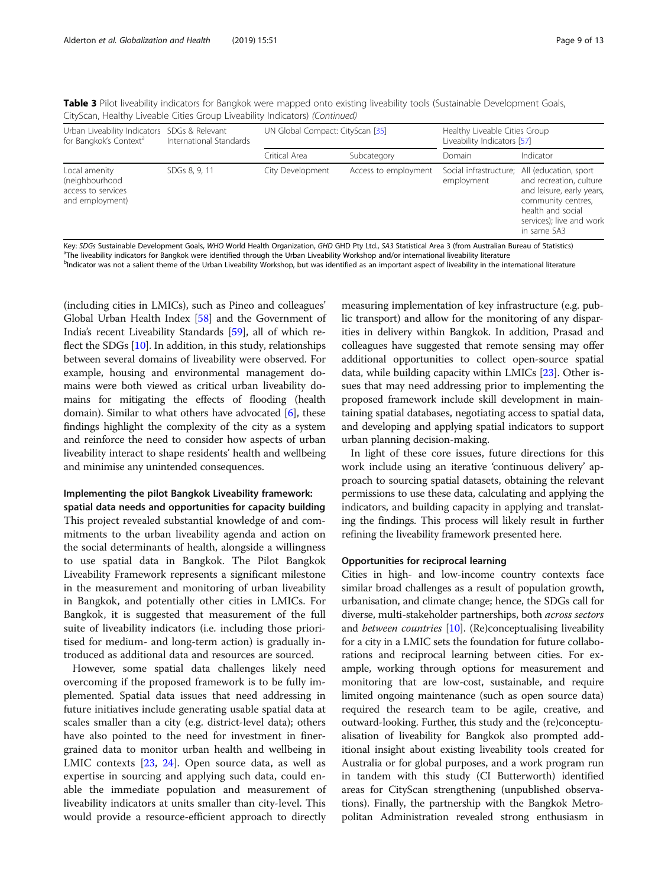Table 3 Pilot liveability indicators for Bangkok were mapped onto existing liveability tools (Sustainable Development Goals, CityScan, Healthy Liveable Cities Group Liveability Indicators) (Continued)

| Urban Liveability Indicators SDGs & Relevant<br>for Bangkok's Context <sup>a</sup> | International Standards | UN Global Compact: CityScan [35] |                      | Healthy Liveable Cities Group<br>Liveability Indicators [57] |                                                                                                                                                                                            |
|------------------------------------------------------------------------------------|-------------------------|----------------------------------|----------------------|--------------------------------------------------------------|--------------------------------------------------------------------------------------------------------------------------------------------------------------------------------------------|
|                                                                                    |                         | Critical Area                    | Subcategory          | Domain                                                       | Indicator                                                                                                                                                                                  |
| Local amenity<br>(neighbourhood<br>access to services<br>and employment)           | SDGs 8, 9, 11           | City Development                 | Access to employment | employment                                                   | Social infrastructure; All (education, sport<br>and recreation, culture<br>and leisure, early years,<br>community centres,<br>health and social<br>services); live and work<br>in same SA3 |

Key: SDGs Sustainable Development Goals, WHO World Health Organization, GHD GHD Pty Ltd., SA3 Statistical Area 3 (from Australian Bureau of Statistics) <sup>a</sup>The liveability indicators for Bangkok were identified through the Urban Liveability Workshop and/or international liveability literature

b<br><sup>b</sup>Indicator was not a salient theme of the Urban Liveability Workshop, but was identified as an important aspect of liveability in the international literature

(including cities in LMICs), such as Pineo and colleagues' Global Urban Health Index [\[58](#page-12-0)] and the Government of India's recent Liveability Standards [[59](#page-12-0)], all of which reflect the SDGs [\[10\]](#page-11-0). In addition, in this study, relationships between several domains of liveability were observed. For example, housing and environmental management domains were both viewed as critical urban liveability domains for mitigating the effects of flooding (health domain). Similar to what others have advocated  $[6]$  $[6]$  $[6]$ , these findings highlight the complexity of the city as a system and reinforce the need to consider how aspects of urban liveability interact to shape residents' health and wellbeing and minimise any unintended consequences.

# Implementing the pilot Bangkok Liveability framework:

spatial data needs and opportunities for capacity building This project revealed substantial knowledge of and commitments to the urban liveability agenda and action on the social determinants of health, alongside a willingness to use spatial data in Bangkok. The Pilot Bangkok Liveability Framework represents a significant milestone in the measurement and monitoring of urban liveability in Bangkok, and potentially other cities in LMICs. For Bangkok, it is suggested that measurement of the full suite of liveability indicators (i.e. including those prioritised for medium- and long-term action) is gradually introduced as additional data and resources are sourced.

However, some spatial data challenges likely need overcoming if the proposed framework is to be fully implemented. Spatial data issues that need addressing in future initiatives include generating usable spatial data at scales smaller than a city (e.g. district-level data); others have also pointed to the need for investment in finergrained data to monitor urban health and wellbeing in LMIC contexts [\[23](#page-11-0), [24\]](#page-11-0). Open source data, as well as expertise in sourcing and applying such data, could enable the immediate population and measurement of liveability indicators at units smaller than city-level. This would provide a resource-efficient approach to directly

measuring implementation of key infrastructure (e.g. public transport) and allow for the monitoring of any disparities in delivery within Bangkok. In addition, Prasad and colleagues have suggested that remote sensing may offer additional opportunities to collect open-source spatial data, while building capacity within LMICs [\[23\]](#page-11-0). Other issues that may need addressing prior to implementing the proposed framework include skill development in maintaining spatial databases, negotiating access to spatial data, and developing and applying spatial indicators to support urban planning decision-making.

In light of these core issues, future directions for this work include using an iterative 'continuous delivery' approach to sourcing spatial datasets, obtaining the relevant permissions to use these data, calculating and applying the indicators, and building capacity in applying and translating the findings. This process will likely result in further refining the liveability framework presented here.

#### Opportunities for reciprocal learning

Cities in high- and low-income country contexts face similar broad challenges as a result of population growth, urbanisation, and climate change; hence, the SDGs call for diverse, multi-stakeholder partnerships, both across sectors and between countries [[10](#page-11-0)]. (Re)conceptualising liveability for a city in a LMIC sets the foundation for future collaborations and reciprocal learning between cities. For example, working through options for measurement and monitoring that are low-cost, sustainable, and require limited ongoing maintenance (such as open source data) required the research team to be agile, creative, and outward-looking. Further, this study and the (re)conceptualisation of liveability for Bangkok also prompted additional insight about existing liveability tools created for Australia or for global purposes, and a work program run in tandem with this study (CI Butterworth) identified areas for CityScan strengthening (unpublished observations). Finally, the partnership with the Bangkok Metropolitan Administration revealed strong enthusiasm in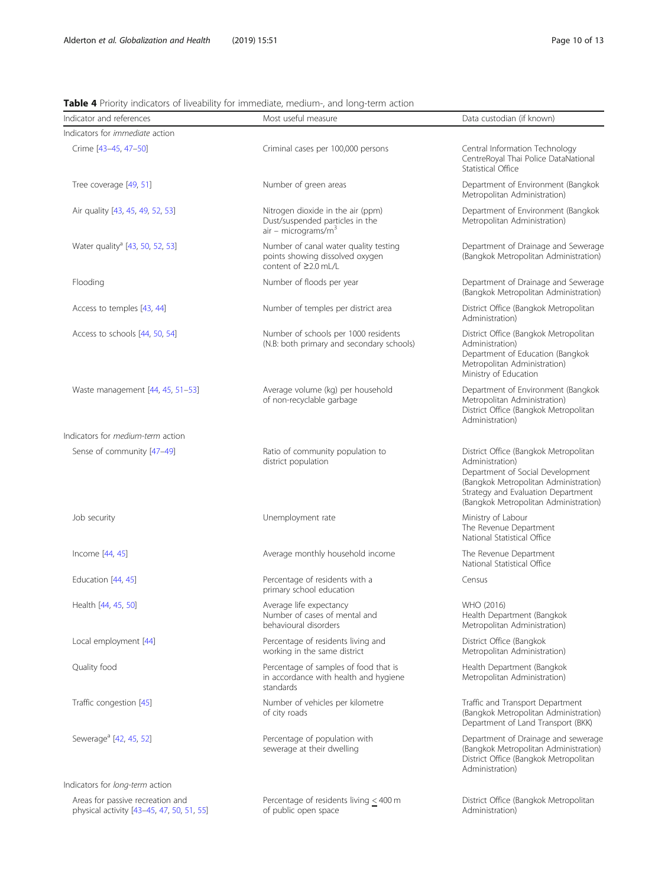<span id="page-9-0"></span>

|  | <b>Table 4</b> Priority indicators of liveability for immediate, medium-, and long-term action |  |  |  |
|--|------------------------------------------------------------------------------------------------|--|--|--|
|--|------------------------------------------------------------------------------------------------|--|--|--|

| Indicator and references                                                      | Most useful measure                                                                                    | Data custodian (if known)                                                                                                                                                                                            |  |
|-------------------------------------------------------------------------------|--------------------------------------------------------------------------------------------------------|----------------------------------------------------------------------------------------------------------------------------------------------------------------------------------------------------------------------|--|
| Indicators for <i>immediate</i> action                                        |                                                                                                        |                                                                                                                                                                                                                      |  |
| Crime [43-45, 47-50]                                                          | Criminal cases per 100,000 persons                                                                     | Central Information Technology<br>CentreRoyal Thai Police DataNational<br>Statistical Office                                                                                                                         |  |
| Tree coverage [49, 51]                                                        | Number of green areas                                                                                  | Department of Environment (Bangkok<br>Metropolitan Administration)                                                                                                                                                   |  |
| Air quality [43, 45, 49, 52, 53]                                              | Nitrogen dioxide in the air (ppm)<br>Dust/suspended particles in the<br>$air - micrograms/m3$          | Department of Environment (Bangkok<br>Metropolitan Administration)                                                                                                                                                   |  |
| Water quality <sup>a</sup> [43, 50, 52, 53]                                   | Number of canal water quality testing<br>points showing dissolved oxygen<br>content of $\geq$ 2.0 mL/L | Department of Drainage and Sewerage<br>(Bangkok Metropolitan Administration)                                                                                                                                         |  |
| Flooding                                                                      | Number of floods per year                                                                              | Department of Drainage and Sewerage<br>(Bangkok Metropolitan Administration)                                                                                                                                         |  |
| Access to temples [43, 44]                                                    | Number of temples per district area                                                                    | District Office (Bangkok Metropolitan<br>Administration)                                                                                                                                                             |  |
| Access to schools [44, 50, 54]                                                | Number of schools per 1000 residents<br>(N.B: both primary and secondary schools)                      | District Office (Bangkok Metropolitan<br>Administration)<br>Department of Education (Bangkok<br>Metropolitan Administration)<br>Ministry of Education                                                                |  |
| Waste management [44, 45, 51-53]                                              | Average volume (kg) per household<br>of non-recyclable garbage                                         | Department of Environment (Bangkok<br>Metropolitan Administration)<br>District Office (Bangkok Metropolitan<br>Administration)                                                                                       |  |
| Indicators for medium-term action                                             |                                                                                                        |                                                                                                                                                                                                                      |  |
| Sense of community [47-49]                                                    | Ratio of community population to<br>district population                                                | District Office (Bangkok Metropolitan<br>Administration)<br>Department of Social Development<br>(Bangkok Metropolitan Administration)<br>Strategy and Evaluation Department<br>(Bangkok Metropolitan Administration) |  |
| Job security                                                                  | Unemployment rate                                                                                      | Ministry of Labour<br>The Revenue Department<br>National Statistical Office                                                                                                                                          |  |
| Income [44, 45]                                                               | Average monthly household income                                                                       | The Revenue Department<br>National Statistical Office                                                                                                                                                                |  |
| Education [44, 45]                                                            | Percentage of residents with a<br>primary school education                                             | Census                                                                                                                                                                                                               |  |
| Health [44, 45, 50]                                                           | Average life expectancy<br>Number of cases of mental and<br>behavioural disorders                      | WHO (2016)<br>Health Department (Bangkok<br>Metropolitan Administration)                                                                                                                                             |  |
| Local employment [44]                                                         | Percentage of residents living and<br>working in the same district                                     | District Office (Bangkok<br>Metropolitan Administration)                                                                                                                                                             |  |
| Quality food                                                                  | Percentage of samples of food that is<br>in accordance with health and hygiene<br>standards            | Health Department (Bangkok<br>Metropolitan Administration)                                                                                                                                                           |  |
| Traffic congestion [45]                                                       | Number of vehicles per kilometre<br>of city roads                                                      | Traffic and Transport Department<br>(Bangkok Metropolitan Administration)<br>Department of Land Transport (BKK)                                                                                                      |  |
| Sewerage <sup>a</sup> [42, 45, 52]                                            | Percentage of population with<br>sewerage at their dwelling                                            | Department of Drainage and sewerage<br>(Bangkok Metropolitan Administration)<br>District Office (Bangkok Metropolitan<br>Administration)                                                                             |  |
| Indicators for long-term action                                               |                                                                                                        |                                                                                                                                                                                                                      |  |
| Areas for passive recreation and<br>physical activity [43-45, 47, 50, 51, 55] | Percentage of residents living < 400 m<br>of public open space                                         | District Office (Bangkok Metropolitan<br>Administration)                                                                                                                                                             |  |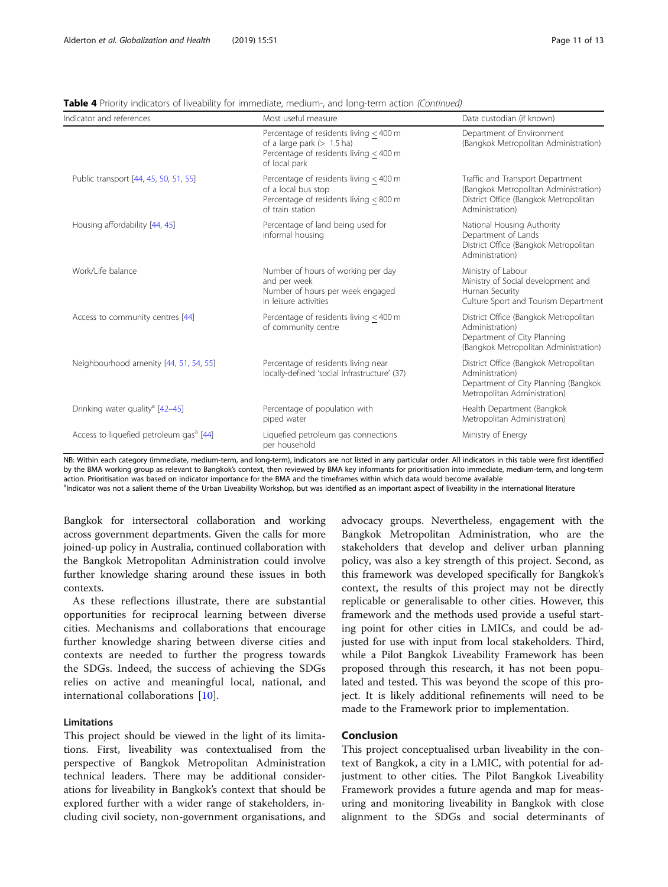| Indicator and references                            | Most useful measure                                                                                                                  | Data custodian (if known)                                                                                                             |
|-----------------------------------------------------|--------------------------------------------------------------------------------------------------------------------------------------|---------------------------------------------------------------------------------------------------------------------------------------|
|                                                     | Percentage of residents living $\leq$ 400 m<br>of a large park (> 1.5 ha)<br>Percentage of residents living < 400 m<br>of local park | Department of Environment<br>(Bangkok Metropolitan Administration)                                                                    |
| Public transport [44, 45, 50, 51, 55]               | Percentage of residents living $\leq$ 400 m<br>of a local bus stop<br>Percentage of residents living < 800 m<br>of train station     | Traffic and Transport Department<br>(Bangkok Metropolitan Administration)<br>District Office (Bangkok Metropolitan<br>Administration) |
| Housing affordability [44, 45]                      | Percentage of land being used for<br>informal housing                                                                                | National Housing Authority<br>Department of Lands<br>District Office (Bangkok Metropolitan<br>Administration)                         |
| Work/Life balance                                   | Number of hours of working per day<br>and per week<br>Number of hours per week engaged<br>in leisure activities                      | Ministry of Labour<br>Ministry of Social development and<br>Human Security<br>Culture Sport and Tourism Department                    |
| Access to community centres [44]                    | Percentage of residents living < 400 m<br>of community centre                                                                        | District Office (Bangkok Metropolitan<br>Administration)<br>Department of City Planning<br>(Bangkok Metropolitan Administration)      |
| Neighbourhood amenity [44, 51, 54, 55]              | Percentage of residents living near<br>locally-defined 'social infrastructure' (37)                                                  | District Office (Bangkok Metropolitan<br>Administration)<br>Department of City Planning (Bangkok<br>Metropolitan Administration)      |
| Drinking water quality <sup>a</sup> [42-45]         | Percentage of population with<br>piped water                                                                                         | Health Department (Bangkok<br>Metropolitan Administration)                                                                            |
| Access to liquefied petroleum gas <sup>a</sup> [44] | Liquefied petroleum gas connections<br>per household                                                                                 | Ministry of Energy                                                                                                                    |

Table 4 Priority indicators of liveability for immediate, medium-, and long-term action (Continued)

NB: Within each category (immediate, medium-term, and long-term), indicators are not listed in any particular order. All indicators in this table were first identified by the BMA working group as relevant to Bangkok's context, then reviewed by BMA key informants for prioritisation into immediate, medium-term, and long-term action. Prioritisation was based on indicator importance for the BMA and the timeframes within which data would become available

<sup>a</sup>Indicator was not a salient theme of the Urban Liveability Workshop, but was identified as an important aspect of liveability in the international literature

Bangkok for intersectoral collaboration and working across government departments. Given the calls for more joined-up policy in Australia, continued collaboration with the Bangkok Metropolitan Administration could involve further knowledge sharing around these issues in both contexts.

As these reflections illustrate, there are substantial opportunities for reciprocal learning between diverse cities. Mechanisms and collaborations that encourage further knowledge sharing between diverse cities and contexts are needed to further the progress towards the SDGs. Indeed, the success of achieving the SDGs relies on active and meaningful local, national, and international collaborations [[10\]](#page-11-0).

# Limitations

This project should be viewed in the light of its limitations. First, liveability was contextualised from the perspective of Bangkok Metropolitan Administration technical leaders. There may be additional considerations for liveability in Bangkok's context that should be explored further with a wider range of stakeholders, including civil society, non-government organisations, and advocacy groups. Nevertheless, engagement with the Bangkok Metropolitan Administration, who are the stakeholders that develop and deliver urban planning policy, was also a key strength of this project. Second, as this framework was developed specifically for Bangkok's context, the results of this project may not be directly replicable or generalisable to other cities. However, this framework and the methods used provide a useful starting point for other cities in LMICs, and could be adjusted for use with input from local stakeholders. Third, while a Pilot Bangkok Liveability Framework has been proposed through this research, it has not been populated and tested. This was beyond the scope of this project. It is likely additional refinements will need to be made to the Framework prior to implementation.

# Conclusion

This project conceptualised urban liveability in the context of Bangkok, a city in a LMIC, with potential for adjustment to other cities. The Pilot Bangkok Liveability Framework provides a future agenda and map for measuring and monitoring liveability in Bangkok with close alignment to the SDGs and social determinants of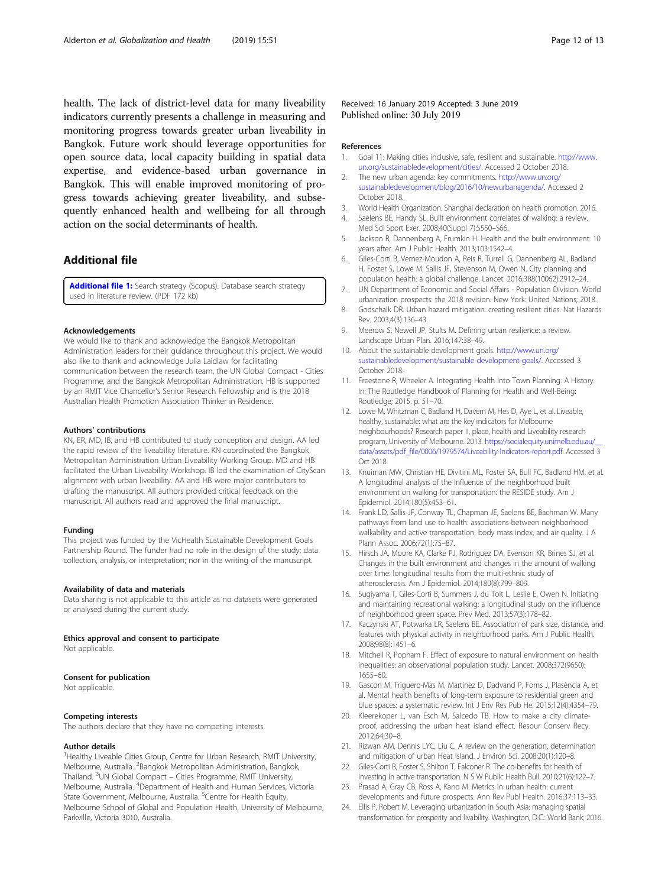<span id="page-11-0"></span>health. The lack of district-level data for many liveability indicators currently presents a challenge in measuring and monitoring progress towards greater urban liveability in Bangkok. Future work should leverage opportunities for open source data, local capacity building in spatial data expertise, and evidence-based urban governance in Bangkok. This will enable improved monitoring of progress towards achieving greater liveability, and subsequently enhanced health and wellbeing for all through action on the social determinants of health.

# Additional file

[Additional file 1:](https://doi.org/10.1186/s12992-019-0484-8) Search strategy (Scopus). Database search strategy used in literature review. (PDF 172 kb)

#### Acknowledgements

We would like to thank and acknowledge the Bangkok Metropolitan Administration leaders for their guidance throughout this project. We would also like to thank and acknowledge Julia Laidlaw for facilitating communication between the research team, the UN Global Compact - Cities Programme, and the Bangkok Metropolitan Administration. HB is supported by an RMIT Vice Chancellor's Senior Research Fellowship and is the 2018 Australian Health Promotion Association Thinker in Residence.

#### Authors' contributions

KN, ER, MD, IB, and HB contributed to study conception and design. AA led the rapid review of the liveability literature. KN coordinated the Bangkok Metropolitan Administration Urban Liveability Working Group. MD and HB facilitated the Urban Liveability Workshop. IB led the examination of CityScan alignment with urban liveability. AA and HB were major contributors to drafting the manuscript. All authors provided critical feedback on the manuscript. All authors read and approved the final manuscript.

#### Funding

This project was funded by the VicHealth Sustainable Development Goals Partnership Round. The funder had no role in the design of the study; data collection, analysis, or interpretation; nor in the writing of the manuscript.

#### Availability of data and materials

Data sharing is not applicable to this article as no datasets were generated or analysed during the current study.

#### Ethics approval and consent to participate

Not applicable.

#### Consent for publication

Not applicable.

#### Competing interests

The authors declare that they have no competing interests.

#### Author details

<sup>1</sup> Healthy Liveable Cities Group, Centre for Urban Research, RMIT University, Melbourne, Australia. <sup>2</sup>Bangkok Metropolitan Administration, Bangkok, Thailand. <sup>3</sup>UN Global Compact – Cities Programme, RMIT University, Melbourne, Australia. <sup>4</sup>Department of Health and Human Services, Victoria State Government, Melbourne, Australia. <sup>5</sup>Centre for Health Equity, Melbourne School of Global and Population Health, University of Melbourne, Parkville, Victoria 3010, Australia.

Received: 16 January 2019 Accepted: 3 June 2019 Published online: 30 July 2019

#### References

- 1. Goal 11: Making cities inclusive, safe, resilient and sustainable. [http://www.](http://www.un.org/sustainabledevelopment/cities/) [un.org/sustainabledevelopment/cities/](http://www.un.org/sustainabledevelopment/cities/). Accessed 2 October 2018.
- 2. The new urban agenda: key commitments. [http://www.un.org/](http://www.un.org/sustainabledevelopment/blog/2016/10/newurbanagenda/) [sustainabledevelopment/blog/2016/10/newurbanagenda/](http://www.un.org/sustainabledevelopment/blog/2016/10/newurbanagenda/). Accessed 2 October 2018.
- 3. World Health Organization. Shanghai declaration on health promotion. 2016.
- 4. Saelens BE, Handy SL. Built environment correlates of walking: a review. Med Sci Sport Exer. 2008;40(Suppl 7):S550–S66.
- 5. Jackson R, Dannenberg A, Frumkin H. Health and the built environment: 10 years after. Am J Public Health. 2013;103:1542–4.
- 6. Giles-Corti B, Vernez-Moudon A, Reis R, Turrell G, Dannenberg AL, Badland H, Foster S, Lowe M, Sallis JF, Stevenson M, Owen N. City planning and population health: a global challenge. Lancet. 2016;388(10062):2912–24.
- 7. UN Department of Economic and Social Affairs Population Division. World urbanization prospects: the 2018 revision. New York: United Nations; 2018.
- 8. Godschalk DR. Urban hazard mitigation: creating resilient cities. Nat Hazards Rev. 2003;4(3):136–43.
- 9. Meerow S, Newell JP, Stults M. Defining urban resilience: a review. Landscape Urban Plan. 2016;147:38–49.
- 10. About the sustainable development goals. [http://www.un.org/](http://www.un.org/sustainabledevelopment/sustainable-development-goals/) [sustainabledevelopment/sustainable-development-goals/.](http://www.un.org/sustainabledevelopment/sustainable-development-goals/) Accessed 3 October 2018.
- 11. Freestone R, Wheeler A. Integrating Health Into Town Planning: A History. In: The Routledge Handbook of Planning for Health and Well-Being: Routledge; 2015. p. 51–70.
- 12. Lowe M, Whitzman C, Badland H, Davern M, Hes D, Aye L, et al. Liveable, healthy, sustainable: what are the key indicators for Melbourne neighbourhoods? Research paper 1, place, health and Liveability research program, University of Melbourne. 2013. [https://socialequity.unimelb.edu.au/\\_\\_](https://socialequity.unimelb.edu.au/__data/assets/pdf_file/0006/1979574/Liveability-Indicators-report.pdf) [data/assets/pdf\\_file/0006/1979574/Liveability-Indicators-report.pdf.](https://socialequity.unimelb.edu.au/__data/assets/pdf_file/0006/1979574/Liveability-Indicators-report.pdf) Accessed 3 Oct 2018.
- 13. Knuiman MW, Christian HE, Divitini ML, Foster SA, Bull FC, Badland HM, et al. A longitudinal analysis of the influence of the neighborhood built environment on walking for transportation: the RESIDE study. Am J Epidemiol. 2014;180(5):453–61.
- 14. Frank LD, Sallis JF, Conway TL, Chapman JE, Saelens BE, Bachman W. Many pathways from land use to health: associations between neighborhood walkability and active transportation, body mass index, and air quality. J A Plann Assoc. 2006;72(1):75–87.
- 15. Hirsch JA, Moore KA, Clarke PJ, Rodriguez DA, Evenson KR, Brines SJ, et al. Changes in the built environment and changes in the amount of walking over time: longitudinal results from the multi-ethnic study of atherosclerosis. Am J Epidemiol. 2014;180(8):799–809.
- 16. Sugiyama T, Giles-Corti B, Summers J, du Toit L, Leslie E, Owen N. Initiating and maintaining recreational walking: a longitudinal study on the influence of neighborhood green space. Prev Med. 2013;57(3):178–82.
- 17. Kaczynski AT, Potwarka LR, Saelens BE. Association of park size, distance, and features with physical activity in neighborhood parks. Am J Public Health. 2008;98(8):1451–6.
- 18. Mitchell R, Popham F. Effect of exposure to natural environment on health inequalities: an observational population study. Lancet. 2008;372(9650): 1655–60.
- 19. Gascon M, Triguero-Mas M, Martínez D, Dadvand P, Forns J, Plasència A, et al. Mental health benefits of long-term exposure to residential green and blue spaces: a systematic review. Int J Env Res Pub He. 2015;12(4):4354–79.
- 20. Kleerekoper L, van Esch M, Salcedo TB. How to make a city climateproof, addressing the urban heat island effect. Resour Conserv Recy. 2012;64:30–8.
- 21. Rizwan AM, Dennis LYC, Liu C. A review on the generation, determination and mitigation of urban Heat Island. J Environ Sci. 2008;20(1):120–8.
- 22. Giles-Corti B, Foster S, Shilton T, Falconer R. The co-benefits for health of investing in active transportation. N S W Public Health Bull. 2010;21(6):122–7.
- 23. Prasad A, Gray CB, Ross A, Kano M. Metrics in urban health: current developments and future prospects. Ann Rev Publ Health. 2016;37:113–33.
- 24. Ellis P, Robert M. Leveraging urbanization in South Asia: managing spatial transformation for prosperity and livability. Washington, D.C.: World Bank; 2016.